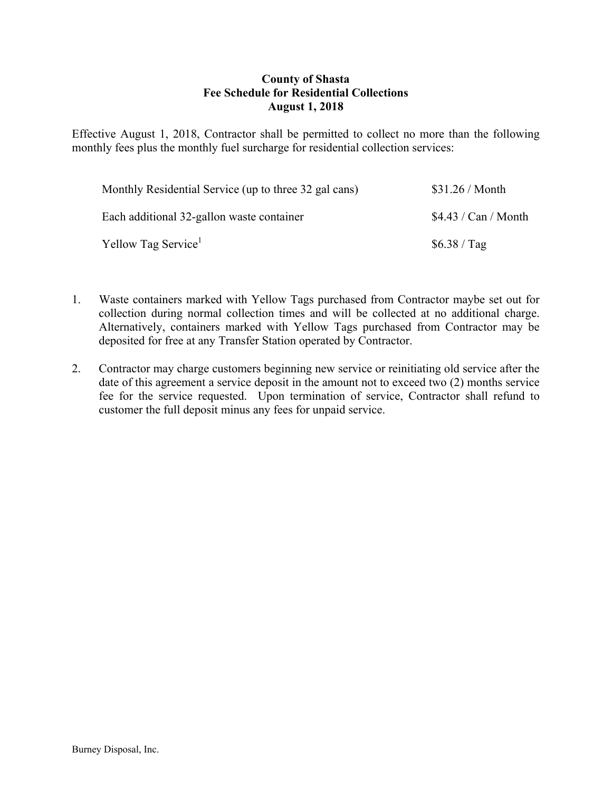## **County of Shasta Fee Schedule for Residential Collections August 1, 2018**

Effective August 1, 2018, Contractor shall be permitted to collect no more than the following monthly fees plus the monthly fuel surcharge for residential collection services:

| Monthly Residential Service (up to three 32 gal cans) | \$31.26 / <b>Month</b> |
|-------------------------------------------------------|------------------------|
| Each additional 32-gallon waste container             | \$4.43 / Can / Month   |
| Yellow Tag Service <sup>1</sup>                       | \$6.38 / Tag           |

- 1. Waste containers marked with Yellow Tags purchased from Contractor maybe set out for collection during normal collection times and will be collected at no additional charge. Alternatively, containers marked with Yellow Tags purchased from Contractor may be deposited for free at any Transfer Station operated by Contractor.
- 2. Contractor may charge customers beginning new service or reinitiating old service after the date of this agreement a service deposit in the amount not to exceed two (2) months service fee for the service requested. Upon termination of service, Contractor shall refund to customer the full deposit minus any fees for unpaid service.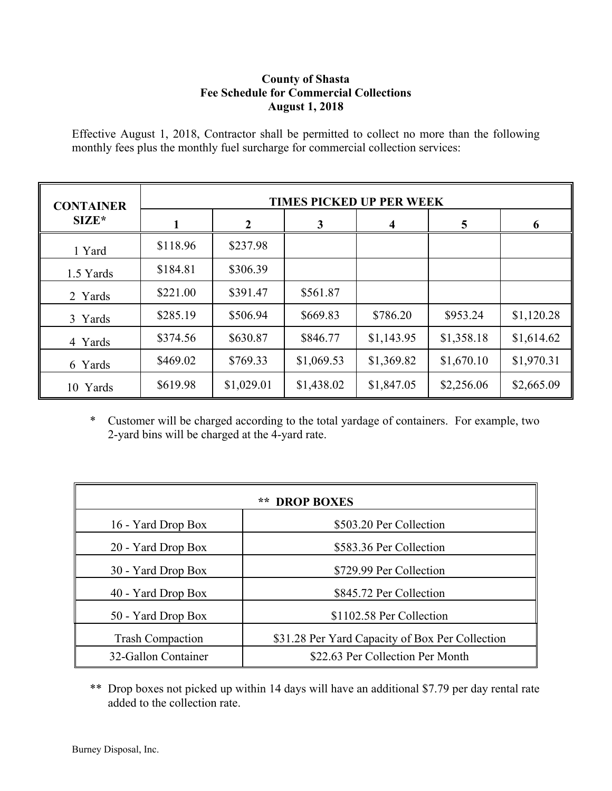# **County of Shasta Fee Schedule for Commercial Collections August 1, 2018**

Effective August 1, 2018, Contractor shall be permitted to collect no more than the following monthly fees plus the monthly fuel surcharge for commercial collection services:

| <b>CONTAINER</b> | <b>TIMES PICKED UP PER WEEK</b> |            |            |            |            |            |
|------------------|---------------------------------|------------|------------|------------|------------|------------|
| $SIZE*$          |                                 | າ          | 3          | 4          | 5          |            |
| 1 Yard           | \$118.96                        | \$237.98   |            |            |            |            |
| 1.5 Yards        | \$184.81                        | \$306.39   |            |            |            |            |
| 2 Yards          | \$221.00                        | \$391.47   | \$561.87   |            |            |            |
| 3 Yards          | \$285.19                        | \$506.94   | \$669.83   | \$786.20   | \$953.24   | \$1,120.28 |
| 4 Yards          | \$374.56                        | \$630.87   | \$846.77   | \$1,143.95 | \$1,358.18 | \$1,614.62 |
| 6 Yards          | \$469.02                        | \$769.33   | \$1,069.53 | \$1,369.82 | \$1,670.10 | \$1,970.31 |
| 10 Yards         | \$619.98                        | \$1,029.01 | \$1,438.02 | \$1,847.05 | \$2,256.06 | \$2,665.09 |

\* Customer will be charged according to the total yardage of containers. For example, two 2-yard bins will be charged at the 4-yard rate.

| **<br><b>DROP BOXES</b> |                                                 |  |  |  |
|-------------------------|-------------------------------------------------|--|--|--|
| 16 - Yard Drop Box      | \$503.20 Per Collection                         |  |  |  |
| 20 - Yard Drop Box      | \$583.36 Per Collection                         |  |  |  |
| 30 - Yard Drop Box      | \$729.99 Per Collection                         |  |  |  |
| 40 - Yard Drop Box      | \$845.72 Per Collection                         |  |  |  |
| 50 - Yard Drop Box      | \$1102.58 Per Collection                        |  |  |  |
| <b>Trash Compaction</b> | \$31.28 Per Yard Capacity of Box Per Collection |  |  |  |
| 32-Gallon Container     | \$22.63 Per Collection Per Month                |  |  |  |

\*\* Drop boxes not picked up within 14 days will have an additional \$7.79 per day rental rate added to the collection rate.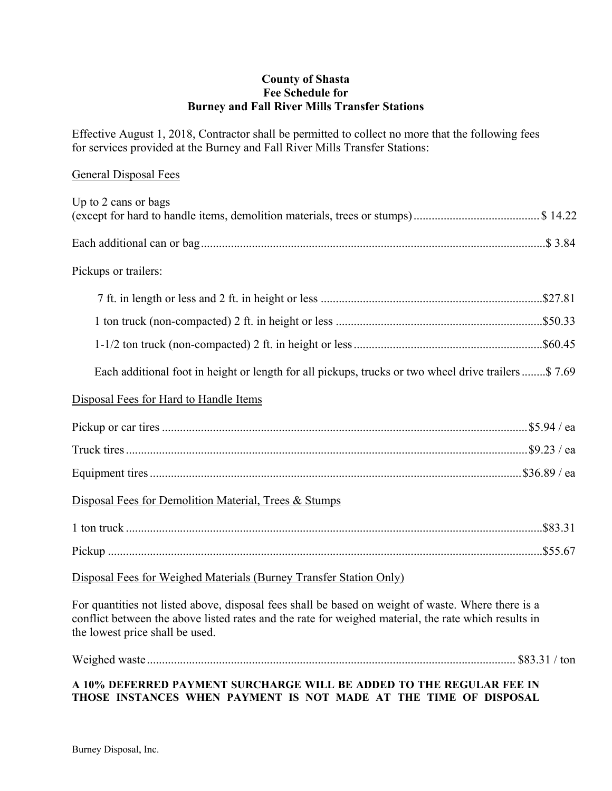#### **County of Shasta Fee Schedule for Burney and Fall River Mills Transfer Stations**

Effective August 1, 2018, Contractor shall be permitted to collect no more that the following fees for services provided at the Burney and Fall River Mills Transfer Stations:

#### General Disposal Fees

| Up to 2 cans or bags                                                                                |
|-----------------------------------------------------------------------------------------------------|
|                                                                                                     |
| Pickups or trailers:                                                                                |
|                                                                                                     |
|                                                                                                     |
|                                                                                                     |
| Each additional foot in height or length for all pickups, trucks or two wheel drive trailers\$ 7.69 |
| Disposal Fees for Hard to Handle Items                                                              |
|                                                                                                     |
|                                                                                                     |
|                                                                                                     |
| Disposal Fees for Demolition Material, Trees & Stumps                                               |
|                                                                                                     |
|                                                                                                     |
| Disposal Fees for Weighed Materials (Burney Transfer Station Only)                                  |

For quantities not listed above, disposal fees shall be based on weight of waste. Where there is a conflict between the above listed rates and the rate for weighed material, the rate which results in the lowest price shall be used.

Weighed waste ........................................................................................................................... \$83.31 / ton

## **A 10% DEFERRED PAYMENT SURCHARGE WILL BE ADDED TO THE REGULAR FEE IN THOSE INSTANCES WHEN PAYMENT IS NOT MADE AT THE TIME OF DISPOSAL**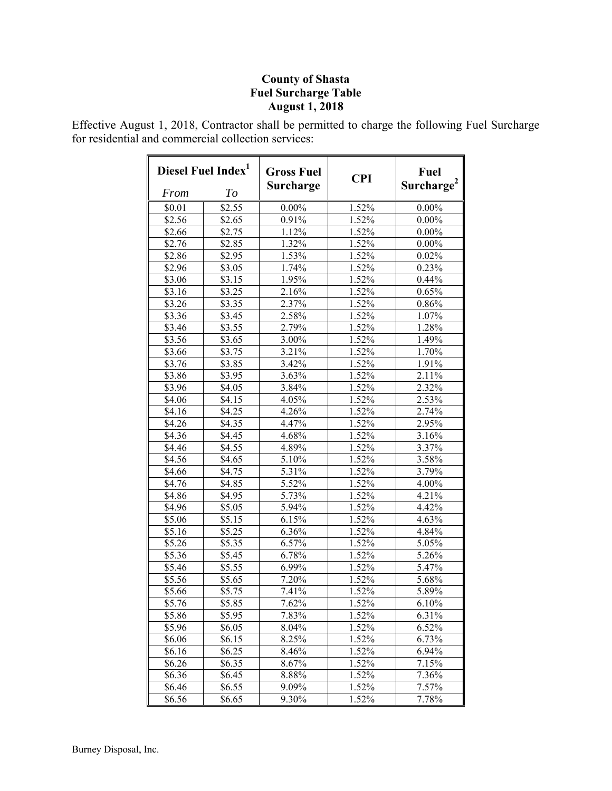# **County of Shasta Fuel Surcharge Table August 1, 2018**

Effective August 1, 2018, Contractor shall be permitted to charge the following Fuel Surcharge for residential and commercial collection services:

| Diesel Fuel Index <sup>1</sup> |        | <b>Gross Fuel</b>   | <b>CPI</b> | Fuel                   |  |
|--------------------------------|--------|---------------------|------------|------------------------|--|
| <b>From</b>                    | To     | Surcharge           |            | Surcharge <sup>2</sup> |  |
| \$0.01                         | \$2.55 | $0.00\%$            | 1.52%      | $0.00\%$               |  |
| \$2.56                         | \$2.65 | 0.91%               | 1.52%      | $0.00\%$               |  |
| \$2.66                         | \$2.75 | 1.12%               | 1.52%      | $0.00\%$               |  |
| \$2.76                         | \$2.85 | 1.32%               | 1.52%      | $0.00\%$               |  |
| \$2.86                         | \$2.95 | $1.53\%$            | 1.52%      | $0.02\%$               |  |
| \$2.96                         | \$3.05 | 1.74%               | 1.52%      | $0.23\%$               |  |
| \$3.06                         | \$3.15 | $1.95\%$            | 1.52%      | 0.44%                  |  |
| \$3.16                         | \$3.25 | 2.16%               | 1.52%      | 0.65%                  |  |
| \$3.26                         | \$3.35 | $2.3\overline{7\%}$ | 1.52%      | $0.86\%$               |  |
| \$3.36                         | \$3.45 | 2.58%               | 1.52%      | 1.07%                  |  |
| \$3.46                         | \$3.55 | 2.79%               | 1.52%      | 1.28%                  |  |
| \$3.56                         | \$3.65 | 3.00%               | 1.52%      | $1.49\%$               |  |
| \$3.66                         | \$3.75 | 3.21%               | 1.52%      | 1.70%                  |  |
| \$3.76                         | \$3.85 | 3.42%               | 1.52%      | $1.9\overline{1\%}$    |  |
| \$3.86                         | \$3.95 | 3.63%               | 1.52%      | $2.1\overline{1\%}$    |  |
| \$3.96                         | \$4.05 | 3.84%               | 1.52%      | 2.32%                  |  |
| \$4.06                         | \$4.15 | 4.05%               | 1.52%      | 2.53%                  |  |
| \$4.16                         | \$4.25 | 4.26%               | 1.52%      | 2.74%                  |  |
| \$4.26                         | \$4.35 | 4.47%               | 1.52%      | 2.95%                  |  |
| \$4.36                         | \$4.45 | 4.68%               | 1.52%      | 3.16%                  |  |
| \$4.46                         | \$4.55 | 4.89%               | 1.52%      | 3.37%                  |  |
| \$4.56                         | \$4.65 | 5.10%               | 1.52%      | 3.58%                  |  |
| \$4.66                         | \$4.75 | 5.31%               | 1.52%      | 3.79%                  |  |
| \$4.76                         | \$4.85 | 5.52%               | 1.52%      | 4.00%                  |  |
| \$4.86                         | \$4.95 | 5.73%               | 1.52%      | 4.21%                  |  |
| \$4.96                         | \$5.05 | 5.94%               | 1.52%      | $4.42\%$               |  |
| \$5.06                         | \$5.15 | 6.15%               | 1.52%      | $4.63\%$               |  |
| \$5.16                         | \$5.25 | 6.36%               | 1.52%      | 4.84%                  |  |
| \$5.26                         | \$5.35 | 6.57%               | 1.52%      | 5.05%                  |  |
| \$5.36                         | \$5.45 | 6.78%               | 1.52%      | 5.26%                  |  |
| \$5.46                         | \$5.55 | 6.99%               | $1.52\%$   | $5.4\overline{7\%}$    |  |
| \$5.56                         | \$5.65 | 7.20%               | 1.52%      | 5.68%                  |  |
| \$5.66                         | \$5.75 | 7.41%               | 1.52%      | 5.89%                  |  |
| \$5.76                         | \$5.85 | 7.62%               | 1.52%      | 6.10%                  |  |
| \$5.86                         | \$5.95 | 7.83%               | 1.52%      | 6.31%                  |  |
| \$5.96                         | \$6.05 | 8.04%               | 1.52%      | $6.52\%$               |  |
| \$6.06                         | \$6.15 | 8.25%               | 1.52%      | 6.73%                  |  |
| \$6.16                         | \$6.25 | 8.46%               | 1.52%      | 6.94%                  |  |
| \$6.26                         | \$6.35 | 8.67%               | 1.52%      | 7.15%                  |  |
| \$6.36                         | \$6.45 | 8.88%               | 1.52%      | 7.36%                  |  |
| \$6.46                         | \$6.55 | 9.09%               | 1.52%      | 7.57%                  |  |
| \$6.56                         | \$6.65 | 9.30%               | 1.52%      | 7.78%                  |  |